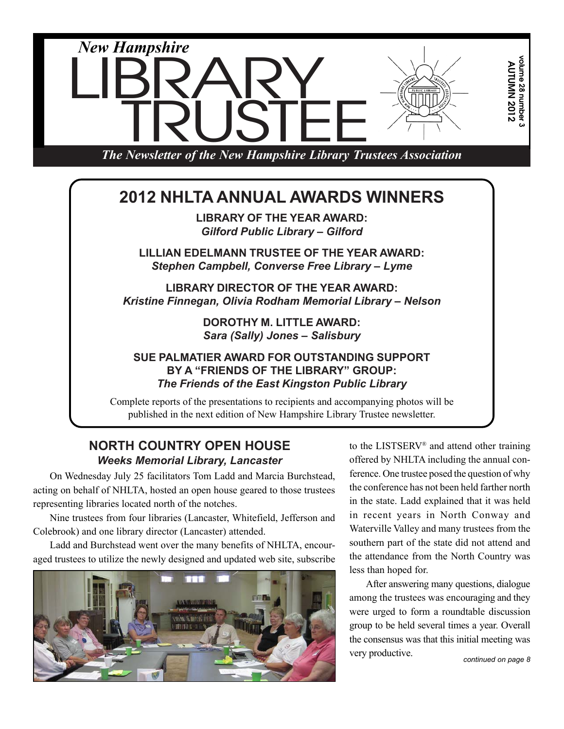

#### **SUE PALMATIER AWARD FOR OUTSTANDING SUPPORT BY A "FRIENDS OF THE LIBRARY" GROUP:** *The Friends of the East Kingston Public Library*

Complete reports of the presentations to recipients and accompanying photos will be published in the next edition of New Hampshire Library Trustee newsletter.

### **NORTH COUNTRY OPEN HOUSE** *Weeks Memorial Library, Lancaster*

On Wednesday July 25 facilitators Tom Ladd and Marcia Burchstead, acting on behalf of NHLTA, hosted an open house geared to those trustees representing libraries located north of the notches.

Nine trustees from four libraries (Lancaster, Whitefield, Jefferson and Colebrook) and one library director (Lancaster) attended.

Ladd and Burchstead went over the many benefits of NHLTA, encouraged trustees to utilize the newly designed and updated web site, subscribe



to the LISTSERV® and attend other training offered by NHLTA including the annual conference. One trustee posed the question of why the conference has not been held farther north in the state. Ladd explained that it was held in recent years in North Conway and Waterville Valley and many trustees from the southern part of the state did not attend and the attendance from the North Country was less than hoped for.

After answering many questions, dialogue among the trustees was encouraging and they were urged to form a roundtable discussion group to be held several times a year. Overall the consensus was that this initial meeting was very productive.

*continued on page 8*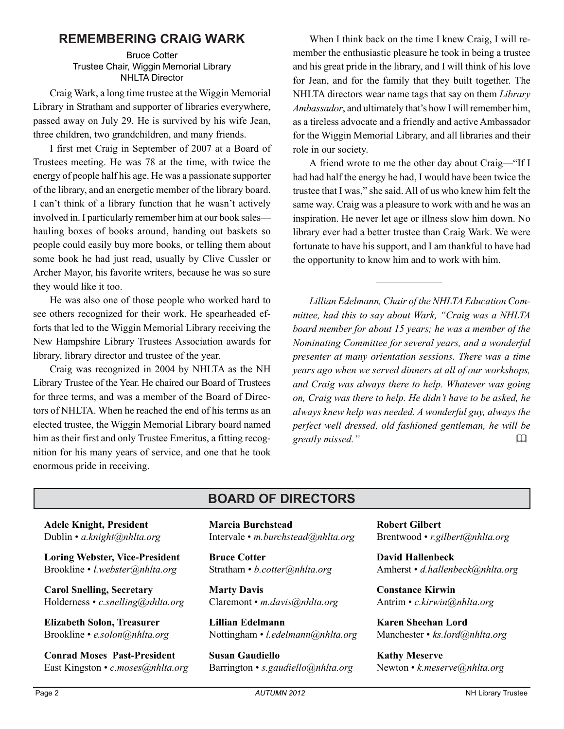#### **REMEMBERING CRAIG WARK**

Bruce Cotter Trustee Chair, Wiggin Memorial Library NHLTA Director

Craig Wark, a long time trustee at the Wiggin Memorial Library in Stratham and supporter of libraries everywhere, passed away on July 29. He is survived by his wife Jean, three children, two grandchildren, and many friends.

I first met Craig in September of 2007 at a Board of Trustees meeting. He was 78 at the time, with twice the energy of people half his age. He was a passionate supporter of the library, and an energetic member of the library board. I can't think of a library function that he wasn't actively involved in. I particularly remember him at our book sales hauling boxes of books around, handing out baskets so people could easily buy more books, or telling them about some book he had just read, usually by Clive Cussler or Archer Mayor, his favorite writers, because he was so sure they would like it too.

He was also one of those people who worked hard to see others recognized for their work. He spearheaded efforts that led to the Wiggin Memorial Library receiving the New Hampshire Library Trustees Association awards for library, library director and trustee of the year.

Craig was recognized in 2004 by NHLTA as the NH Library Trustee of the Year. He chaired our Board of Trustees for three terms, and was a member of the Board of Directors of NHLTA. When he reached the end of his terms as an elected trustee, the Wiggin Memorial Library board named him as their first and only Trustee Emeritus, a fitting recognition for his many years of service, and one that he took enormous pride in receiving.

When I think back on the time I knew Craig, I will remember the enthusiastic pleasure he took in being a trustee and his great pride in the library, and I will think of his love for Jean, and for the family that they built together. The NHLTA directors wear name tags that say on them *Library Ambassador*, and ultimately that's how I will remember him, as a tireless advocate and a friendly and active Ambassador for the Wiggin Memorial Library, and all libraries and their role in our society.

A friend wrote to me the other day about Craig—"If I had had half the energy he had, I would have been twice the trustee that I was," she said. All of us who knew him felt the same way. Craig was a pleasure to work with and he was an inspiration. He never let age or illness slow him down. No library ever had a better trustee than Craig Wark. We were fortunate to have his support, and I am thankful to have had the opportunity to know him and to work with him.

*Lillian Edelmann, Chair of the NHLTA Education Committee, had this to say about Wark, "Craig was a NHLTA board member for about 15 years; he was a member of the Nominating Committee for several years, and a wonderful presenter at many orientation sessions. There was a time years ago when we served dinners at all of our workshops, and Craig was always there to help. Whatever was going on, Craig was there to help. He didn't have to be asked, he always knew help was needed. A wonderful guy, always the perfect well dressed, old fashioned gentleman, he will be greatly missed."* 

### **BOARD OF DIRECTORS**

**Adele Knight, President** Dublin • *a.knight@nhlta.org*

**Loring Webster, Vice-President** Brookline • *l.webster@nhlta.org*

**Carol Snelling, Secretary** Holderness • *c.snelling@nhlta.org*

**Elizabeth Solon, Treasurer** Brookline • *e.solon@nhlta.org*

**Conrad Moses Past-President** East Kingston • *c.moses@nhlta.org* **Marcia Burchstead** Intervale • *m.burchstead@nhlta.org*

**Bruce Cotter** Stratham • *b.cotter@nhlta.org*

**Marty Davis** Claremont • *m.davis@nhlta.org*

**Lillian Edelmann** Nottingham • *l.edelmann@nhlta.org*

**Susan Gaudiello** Barrington • *s.gaudiello@nhlta.org* **Robert Gilbert** Brentwood • *r.gilbert@nhlta.org*

**David Hallenbeck** Amherst • *d.hallenbeck@nhlta.org*

**Constance Kirwin** Antrim • *c.kirwin@nhlta.org*

**Karen Sheehan Lord** Manchester • *ks.lord@nhlta.org*

**Kathy Meserve** Newton • *k.meserve@nhlta.org*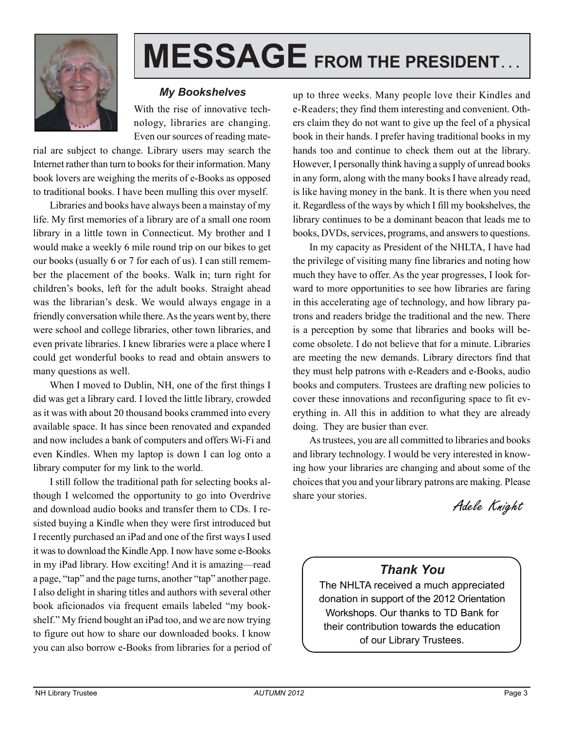

# **MESSAGE FROM THE PRESIDENT. . .**

#### *My Bookshelves*

With the rise of innovative technology, libraries are changing. Even our sources of reading mate-

rial are subject to change. Library users may search the Internet rather than turn to books for their information. Many book lovers are weighing the merits of e-Books as opposed to traditional books. I have been mulling this over myself.

Libraries and books have always been a mainstay of my life. My first memories of a library are of a small one room library in a little town in Connecticut. My brother and I would make a weekly 6 mile round trip on our bikes to get our books (usually 6 or 7 for each of us). I can still remember the placement of the books. Walk in; turn right for children's books, left for the adult books. Straight ahead was the librarian's desk. We would always engage in a friendly conversation while there. As the years went by, there were school and college libraries, other town libraries, and even private libraries. I knew libraries were a place where I could get wonderful books to read and obtain answers to many questions as well.

When I moved to Dublin, NH, one of the first things I did was get a library card. I loved the little library, crowded as it was with about 20 thousand books crammed into every available space. It has since been renovated and expanded and now includes a bank of computers and offers Wi-Fi and even Kindles. When my laptop is down I can log onto a library computer for my link to the world.

I still follow the traditional path for selecting books although I welcomed the opportunity to go into Overdrive and download audio books and transfer them to CDs. I resisted buying a Kindle when they were first introduced but I recently purchased an iPad and one of the first ways I used it was to download the Kindle App. I now have some e-Books in my iPad library. How exciting! And it is amazing—read a page, "tap" and the page turns, another "tap" another page. I also delight in sharing titles and authors with several other book aficionados via frequent emails labeled "my bookshelf." My friend bought an iPad too, and we are now trying to figure out how to share our downloaded books. I know you can also borrow e-Books from libraries for a period of

up to three weeks. Many people love their Kindles and e-Readers; they find them interesting and convenient. Others claim they do not want to give up the feel of a physical book in their hands. I prefer having traditional books in my hands too and continue to check them out at the library. However, I personally think having a supply of unread books in any form, along with the many books I have already read, is like having money in the bank. It is there when you need it. Regardless of the ways by which I fill my bookshelves, the library continues to be a dominant beacon that leads me to books, DVDs, services, programs, and answers to questions.

In my capacity as President of the NHLTA, I have had the privilege of visiting many fine libraries and noting how much they have to offer. As the year progresses, I look forward to more opportunities to see how libraries are faring in this accelerating age of technology, and how library patrons and readers bridge the traditional and the new. There is a perception by some that libraries and books will become obsolete. I do not believe that for a minute. Libraries are meeting the new demands. Library directors find that they must help patrons with e-Readers and e-Books, audio books and computers. Trustees are drafting new policies to cover these innovations and reconfiguring space to fit everything in. All this in addition to what they are already doing. They are busier than ever.

As trustees, you are all committed to libraries and books and library technology. I would be very interested in knowing how your libraries are changing and about some of the choices that you and your library patrons are making. Please share your stories.

Adele Knight

## *Thank You*

The NHLTA received a much appreciated donation in support of the 2012 Orientation Workshops. Our thanks to TD Bank for their contribution towards the education of our Library Trustees.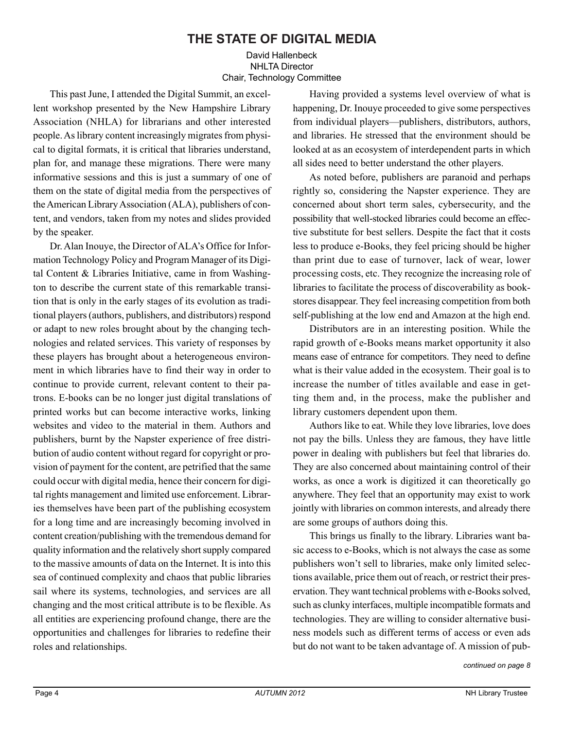### **THE STATE OF DIGITAL MEDIA**

#### David Hallenbeck NHLTA Director Chair, Technology Committee

This past June, I attended the Digital Summit, an excellent workshop presented by the New Hampshire Library Association (NHLA) for librarians and other interested people. As library content increasingly migrates from physical to digital formats, it is critical that libraries understand, plan for, and manage these migrations. There were many informative sessions and this is just a summary of one of them on the state of digital media from the perspectives of the American Library Association (ALA), publishers of content, and vendors, taken from my notes and slides provided by the speaker.

Dr. Alan Inouye, the Director of ALA's Office for Information Technology Policy and Program Manager of its Digital Content & Libraries Initiative, came in from Washington to describe the current state of this remarkable transition that is only in the early stages of its evolution as traditional players (authors, publishers, and distributors) respond or adapt to new roles brought about by the changing technologies and related services. This variety of responses by these players has brought about a heterogeneous environment in which libraries have to find their way in order to continue to provide current, relevant content to their patrons. E-books can be no longer just digital translations of printed works but can become interactive works, linking websites and video to the material in them. Authors and publishers, burnt by the Napster experience of free distribution of audio content without regard for copyright or provision of payment for the content, are petrified that the same could occur with digital media, hence their concern for digital rights management and limited use enforcement. Libraries themselves have been part of the publishing ecosystem for a long time and are increasingly becoming involved in content creation/publishing with the tremendous demand for quality information and the relatively short supply compared to the massive amounts of data on the Internet. It is into this sea of continued complexity and chaos that public libraries sail where its systems, technologies, and services are all changing and the most critical attribute is to be flexible. As all entities are experiencing profound change, there are the opportunities and challenges for libraries to redefine their roles and relationships.

Having provided a systems level overview of what is happening, Dr. Inouye proceeded to give some perspectives from individual players—publishers, distributors, authors, and libraries. He stressed that the environment should be looked at as an ecosystem of interdependent parts in which all sides need to better understand the other players.

As noted before, publishers are paranoid and perhaps rightly so, considering the Napster experience. They are concerned about short term sales, cybersecurity, and the possibility that well-stocked libraries could become an effective substitute for best sellers. Despite the fact that it costs less to produce e-Books, they feel pricing should be higher than print due to ease of turnover, lack of wear, lower processing costs, etc. They recognize the increasing role of libraries to facilitate the process of discoverability as bookstores disappear. They feel increasing competition from both self-publishing at the low end and Amazon at the high end.

Distributors are in an interesting position. While the rapid growth of e-Books means market opportunity it also means ease of entrance for competitors. They need to define what is their value added in the ecosystem. Their goal is to increase the number of titles available and ease in getting them and, in the process, make the publisher and library customers dependent upon them.

Authors like to eat. While they love libraries, love does not pay the bills. Unless they are famous, they have little power in dealing with publishers but feel that libraries do. They are also concerned about maintaining control of their works, as once a work is digitized it can theoretically go anywhere. They feel that an opportunity may exist to work jointly with libraries on common interests, and already there are some groups of authors doing this.

This brings us finally to the library. Libraries want basic access to e-Books, which is not always the case as some publishers won't sell to libraries, make only limited selections available, price them out of reach, or restrict their preservation. They want technical problems with e-Books solved, such as clunky interfaces, multiple incompatible formats and technologies. They are willing to consider alternative business models such as different terms of access or even ads but do not want to be taken advantage of. A mission of pub-

*continued on page 8*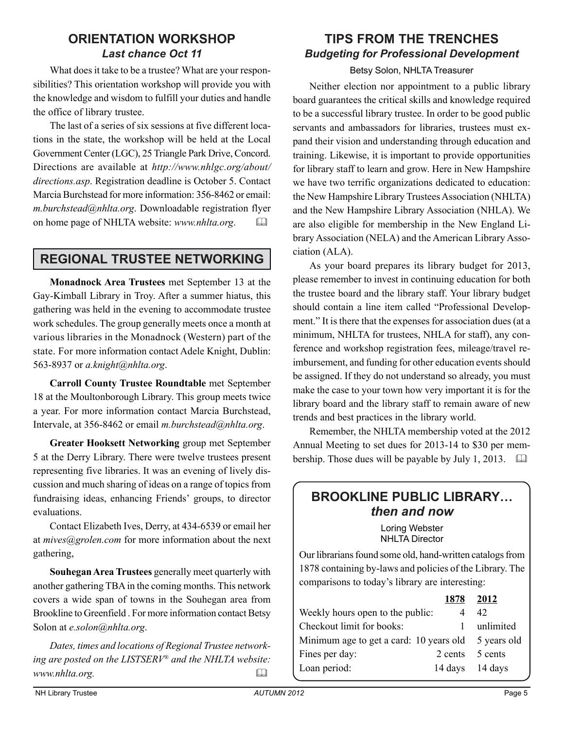### **ORIENTATION WORKSHOP** *Last chance Oct 11*

What does it take to be a trustee? What are your responsibilities? This orientation workshop will provide you with the knowledge and wisdom to fulfill your duties and handle the office of library trustee.

The last of a series of six sessions at five different locations in the state, the workshop will be held at the Local Government Center (LGC), 25 Triangle Park Drive, Concord. Directions are available at *http://www.nhlgc.org/about/ directions.asp*. Registration deadline is October 5. Contact Marcia Burchstead for more information: 356-8462 or email: *m.burchstead@nhlta.org*. Downloadable registration flyer on home page of NHLTA website: *www.nhlta.org*. 

## **REGIONAL TRUSTEE NETWORKING**

**Monadnock Area Trustees** met September 13 at the Gay-Kimball Library in Troy. After a summer hiatus, this gathering was held in the evening to accommodate trustee work schedules. The group generally meets once a month at various libraries in the Monadnock (Western) part of the state. For more information contact Adele Knight, Dublin: 563-8937 or *a.knight@nhlta.org*.

**Carroll County Trustee Roundtable** met September 18 at the Moultonborough Library. This group meets twice a year. For more information contact Marcia Burchstead, Intervale, at 356-8462 or email *m.burchstead@nhlta.org*.

**Greater Hooksett Networking** group met September 5 at the Derry Library. There were twelve trustees present representing five libraries. It was an evening of lively discussion and much sharing of ideas on a range of topics from fundraising ideas, enhancing Friends' groups, to director evaluations.

Contact Elizabeth Ives, Derry, at 434-6539 or email her at *mives@grolen.com* for more information about the next gathering,

**Souhegan Area Trustees** generally meet quarterly with another gathering TBA in the coming months. This network covers a wide span of towns in the Souhegan area from Brookline to Greenfield . For more information contact Betsy Solon at *e.solon@nhlta.org*.

*Dates, times and locations of Regional Trustee networking are posted on the LISTSERV® and the NHLTA website: www.nhlta.org.* 

## **TIPS FROM THE TRENCHES** *Budgeting for Professional Development*

#### Betsy Solon, NHLTA Treasurer

Neither election nor appointment to a public library board guarantees the critical skills and knowledge required to be a successful library trustee. In order to be good public servants and ambassadors for libraries, trustees must expand their vision and understanding through education and training. Likewise, it is important to provide opportunities for library staff to learn and grow. Here in New Hampshire we have two terrific organizations dedicated to education: the New Hampshire Library Trustees Association (NHLTA) and the New Hampshire Library Association (NHLA). We are also eligible for membership in the New England Library Association (NELA) and the American Library Association (ALA).

As your board prepares its library budget for 2013, please remember to invest in continuing education for both the trustee board and the library staff. Your library budget should contain a line item called "Professional Development." It is there that the expenses for association dues (at a minimum, NHLTA for trustees, NHLA for staff), any conference and workshop registration fees, mileage/travel reimbursement, and funding for other education events should be assigned. If they do not understand so already, you must make the case to your town how very important it is for the library board and the library staff to remain aware of new trends and best practices in the library world.

Remember, the NHLTA membership voted at the 2012 Annual Meeting to set dues for 2013-14 to \$30 per membership. Those dues will be payable by July 1, 2013. 

## **BROOKLINE PUBLIC LIBRARY…** *then and now*

Loring Webster NHLTA Director

Our librarians found some old, hand-written catalogs from 1878 containing by-laws and policies of the Library. The comparisons to today's library are interesting:

| 1878 2012                                           |
|-----------------------------------------------------|
| 42                                                  |
| unlimited                                           |
| Minimum age to get a card: 10 years old 5 years old |
| 2 cents 5 cents                                     |
| 14 days 14 days                                     |
| Weekly hours open to the public:                    |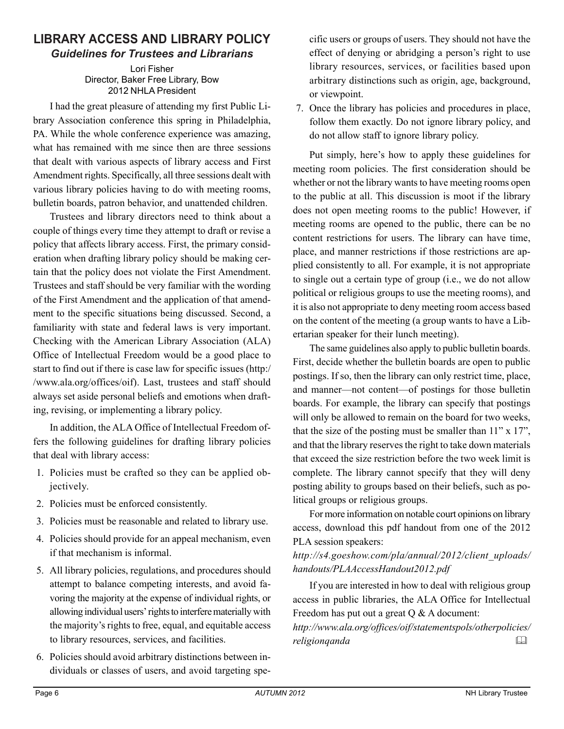#### **LIBRARY ACCESS AND LIBRARY POLICY** *Guidelines for Trustees and Librarians*

Lori Fisher Director, Baker Free Library, Bow 2012 NHLA President

I had the great pleasure of attending my first Public Library Association conference this spring in Philadelphia, PA. While the whole conference experience was amazing, what has remained with me since then are three sessions that dealt with various aspects of library access and First Amendment rights. Specifically, all three sessions dealt with various library policies having to do with meeting rooms, bulletin boards, patron behavior, and unattended children.

Trustees and library directors need to think about a couple of things every time they attempt to draft or revise a policy that affects library access. First, the primary consideration when drafting library policy should be making certain that the policy does not violate the First Amendment. Trustees and staff should be very familiar with the wording of the First Amendment and the application of that amendment to the specific situations being discussed. Second, a familiarity with state and federal laws is very important. Checking with the American Library Association (ALA) Office of Intellectual Freedom would be a good place to start to find out if there is case law for specific issues (http:/ /www.ala.org/offices/oif). Last, trustees and staff should always set aside personal beliefs and emotions when drafting, revising, or implementing a library policy.

In addition, the ALA Office of Intellectual Freedom offers the following guidelines for drafting library policies that deal with library access:

- 1. Policies must be crafted so they can be applied objectively.
- 2. Policies must be enforced consistently.
- 3. Policies must be reasonable and related to library use.
- 4. Policies should provide for an appeal mechanism, even if that mechanism is informal.
- 5. All library policies, regulations, and procedures should attempt to balance competing interests, and avoid favoring the majority at the expense of individual rights, or allowing individual users' rights to interfere materially with the majority's rights to free, equal, and equitable access to library resources, services, and facilities.
- 6. Policies should avoid arbitrary distinctions between individuals or classes of users, and avoid targeting spe-

cific users or groups of users. They should not have the effect of denying or abridging a person's right to use library resources, services, or facilities based upon arbitrary distinctions such as origin, age, background, or viewpoint.

7. Once the library has policies and procedures in place, follow them exactly. Do not ignore library policy, and do not allow staff to ignore library policy.

Put simply, here's how to apply these guidelines for meeting room policies. The first consideration should be whether or not the library wants to have meeting rooms open to the public at all. This discussion is moot if the library does not open meeting rooms to the public! However, if meeting rooms are opened to the public, there can be no content restrictions for users. The library can have time, place, and manner restrictions if those restrictions are applied consistently to all. For example, it is not appropriate to single out a certain type of group (i.e., we do not allow political or religious groups to use the meeting rooms), and it is also not appropriate to deny meeting room access based on the content of the meeting (a group wants to have a Libertarian speaker for their lunch meeting).

The same guidelines also apply to public bulletin boards. First, decide whether the bulletin boards are open to public postings. If so, then the library can only restrict time, place, and manner—not content—of postings for those bulletin boards. For example, the library can specify that postings will only be allowed to remain on the board for two weeks, that the size of the posting must be smaller than 11" x 17", and that the library reserves the right to take down materials that exceed the size restriction before the two week limit is complete. The library cannot specify that they will deny posting ability to groups based on their beliefs, such as political groups or religious groups.

For more information on notable court opinions on library access, download this pdf handout from one of the 2012 PLA session speakers:

*http://s4.goeshow.com/pla/annual/2012/client\_uploads/ handouts/PLAAccessHandout2012.pdf*

If you are interested in how to deal with religious group access in public libraries, the ALA Office for Intellectual Freedom has put out a great Q & A document:

*http://www.ala.org/offices/oif/statementspols/otherpolicies/ religionqanda*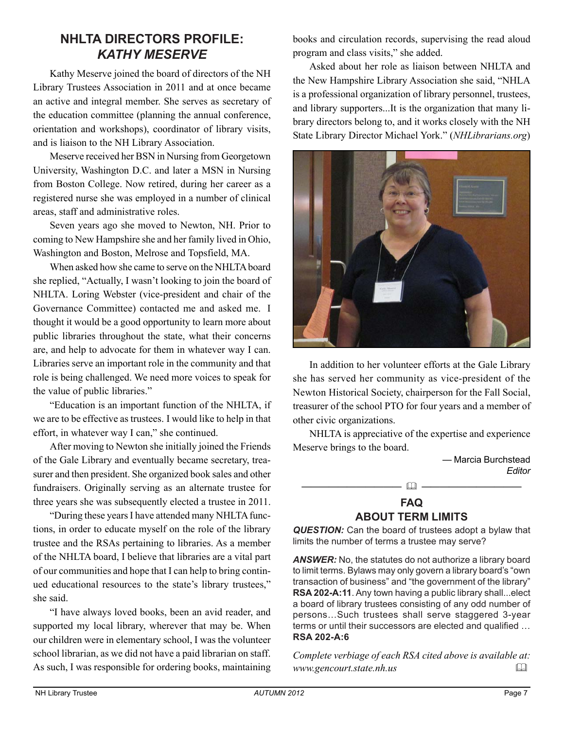### **NHLTA DIRECTORS PROFILE:** *KATHY MESERVE*

Kathy Meserve joined the board of directors of the NH Library Trustees Association in 2011 and at once became an active and integral member. She serves as secretary of the education committee (planning the annual conference, orientation and workshops), coordinator of library visits, and is liaison to the NH Library Association.

Meserve received her BSN in Nursing from Georgetown University, Washington D.C. and later a MSN in Nursing from Boston College. Now retired, during her career as a registered nurse she was employed in a number of clinical areas, staff and administrative roles.

Seven years ago she moved to Newton, NH. Prior to coming to New Hampshire she and her family lived in Ohio, Washington and Boston, Melrose and Topsfield, MA.

When asked how she came to serve on the NHLTA board she replied, "Actually, I wasn't looking to join the board of NHLTA. Loring Webster (vice-president and chair of the Governance Committee) contacted me and asked me. I thought it would be a good opportunity to learn more about public libraries throughout the state, what their concerns are, and help to advocate for them in whatever way I can. Libraries serve an important role in the community and that role is being challenged. We need more voices to speak for the value of public libraries."

"Education is an important function of the NHLTA, if we are to be effective as trustees. I would like to help in that effort, in whatever way I can," she continued.

After moving to Newton she initially joined the Friends of the Gale Library and eventually became secretary, treasurer and then president. She organized book sales and other fundraisers. Originally serving as an alternate trustee for three years she was subsequently elected a trustee in 2011.

"During these years I have attended many NHLTA functions, in order to educate myself on the role of the library trustee and the RSAs pertaining to libraries. As a member of the NHLTA board, I believe that libraries are a vital part of our communities and hope that I can help to bring continued educational resources to the state's library trustees," she said.

"I have always loved books, been an avid reader, and supported my local library, wherever that may be. When our children were in elementary school, I was the volunteer school librarian, as we did not have a paid librarian on staff. As such, I was responsible for ordering books, maintaining books and circulation records, supervising the read aloud program and class visits," she added.

Asked about her role as liaison between NHLTA and the New Hampshire Library Association she said, "NHLA is a professional organization of library personnel, trustees, and library supporters...It is the organization that many library directors belong to, and it works closely with the NH State Library Director Michael York." (*NHLibrarians.org*)



In addition to her volunteer efforts at the Gale Library she has served her community as vice-president of the Newton Historical Society, chairperson for the Fall Social, treasurer of the school PTO for four years and a member of other civic organizations.

NHLTA is appreciative of the expertise and experience Meserve brings to the board.



#### **FAQ ABOUT TERM LIMITS**

*QUESTION:* Can the board of trustees adopt a bylaw that limits the number of terms a trustee may serve?

*ANSWER:* No, the statutes do not authorize a library board to limit terms. Bylaws may only govern a library board's "own transaction of business" and "the government of the library" **RSA 202-A:11**. Any town having a public library shall...elect a board of library trustees consisting of any odd number of persons…Such trustees shall serve staggered 3-year terms or until their successors are elected and qualified … **RSA 202-A:6**

*Complete verbiage of each RSA cited above is available at: www.gencourt.state.nh.us*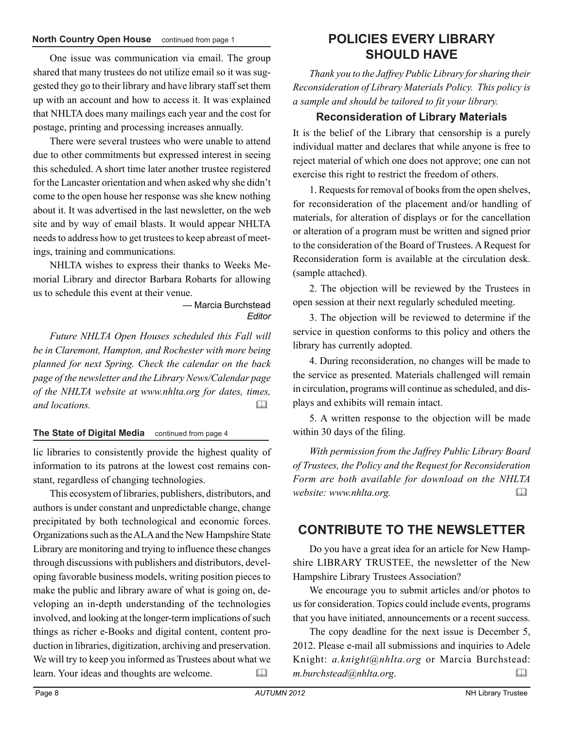#### **North Country Open House** continued from page 1 **POLICIES EVERY LIBRARY**

One issue was communication via email. The group shared that many trustees do not utilize email so it was suggested they go to their library and have library staff set them up with an account and how to access it. It was explained that NHLTA does many mailings each year and the cost for postage, printing and processing increases annually.

There were several trustees who were unable to attend due to other commitments but expressed interest in seeing this scheduled. A short time later another trustee registered for the Lancaster orientation and when asked why she didn't come to the open house her response was she knew nothing about it. It was advertised in the last newsletter, on the web site and by way of email blasts. It would appear NHLTA needs to address how to get trustees to keep abreast of meetings, training and communications.

NHLTA wishes to express their thanks to Weeks Memorial Library and director Barbara Robarts for allowing us to schedule this event at their venue.

> — Marcia Burchstead *Editor*

*Future NHLTA Open Houses scheduled this Fall will be in Claremont, Hampton, and Rochester with more being planned for next Spring. Check the calendar on the back page of the newsletter and the Library News/Calendar page of the NHLTA website at www.nhlta.org for dates, times, and locations.* 

#### **The State of Digital Media** continued from page 4

lic libraries to consistently provide the highest quality of information to its patrons at the lowest cost remains constant, regardless of changing technologies.

This ecosystem of libraries, publishers, distributors, and authors is under constant and unpredictable change, change precipitated by both technological and economic forces. Organizations such as the ALA and the New Hampshire State Library are monitoring and trying to influence these changes through discussions with publishers and distributors, developing favorable business models, writing position pieces to make the public and library aware of what is going on, developing an in-depth understanding of the technologies involved, and looking at the longer-term implications of such things as richer e-Books and digital content, content production in libraries, digitization, archiving and preservation. We will try to keep you informed as Trustees about what we learn. Your ideas and thoughts are welcome. 

## **SHOULD HAVE**

*Thank you to the Jaffrey Public Library for sharing their Reconsideration of Library Materials Policy. This policy is a sample and should be tailored to fit your library.*

#### **Reconsideration of Library Materials**

It is the belief of the Library that censorship is a purely individual matter and declares that while anyone is free to reject material of which one does not approve; one can not exercise this right to restrict the freedom of others.

1. Requests for removal of books from the open shelves, for reconsideration of the placement and/or handling of materials, for alteration of displays or for the cancellation or alteration of a program must be written and signed prior to the consideration of the Board of Trustees. A Request for Reconsideration form is available at the circulation desk. (sample attached).

2. The objection will be reviewed by the Trustees in open session at their next regularly scheduled meeting.

3. The objection will be reviewed to determine if the service in question conforms to this policy and others the library has currently adopted.

4. During reconsideration, no changes will be made to the service as presented. Materials challenged will remain in circulation, programs will continue as scheduled, and displays and exhibits will remain intact.

5. A written response to the objection will be made within 30 days of the filing.

*With permission from the Jaffrey Public Library Board of Trustees, the Policy and the Request for Reconsideration Form are both available for download on the NHLTA website: www.nhlta.org.* 

#### **CONTRIBUTE TO THE NEWSLETTER**

Do you have a great idea for an article for New Hampshire LIBRARY TRUSTEE, the newsletter of the New Hampshire Library Trustees Association?

We encourage you to submit articles and/or photos to us for consideration. Topics could include events, programs that you have initiated, announcements or a recent success.

The copy deadline for the next issue is December 5, 2012. Please e-mail all submissions and inquiries to Adele Knight: *a.knight@nhlta.org* or Marcia Burchstead: *m.burchstead@nhlta.org*.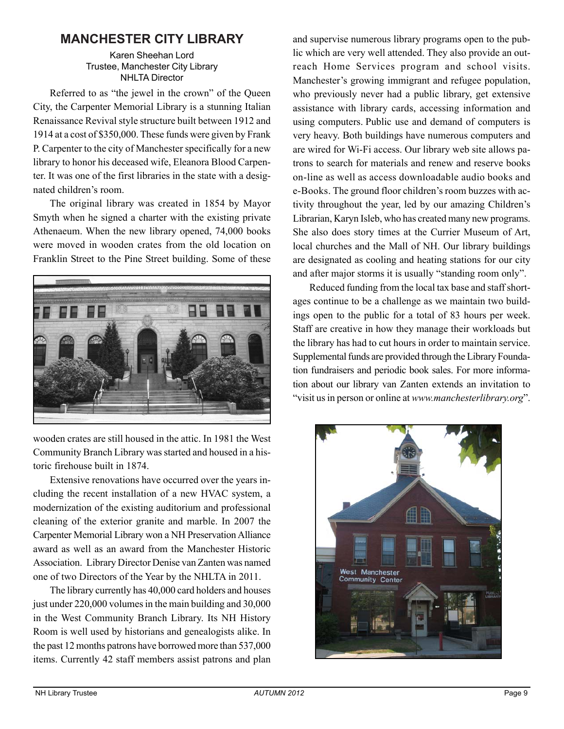## **MANCHESTER CITY LIBRARY**

#### Karen Sheehan Lord Trustee, Manchester City Library NHLTA Director

Referred to as "the jewel in the crown" of the Queen City, the Carpenter Memorial Library is a stunning Italian Renaissance Revival style structure built between 1912 and 1914 at a cost of \$350,000. These funds were given by Frank P. Carpenter to the city of Manchester specifically for a new library to honor his deceased wife, Eleanora Blood Carpenter. It was one of the first libraries in the state with a designated children's room.

The original library was created in 1854 by Mayor Smyth when he signed a charter with the existing private Athenaeum. When the new library opened, 74,000 books were moved in wooden crates from the old location on Franklin Street to the Pine Street building. Some of these



wooden crates are still housed in the attic. In 1981 the West Community Branch Library was started and housed in a historic firehouse built in 1874.

Extensive renovations have occurred over the years including the recent installation of a new HVAC system, a modernization of the existing auditorium and professional cleaning of the exterior granite and marble. In 2007 the Carpenter Memorial Library won a NH Preservation Alliance award as well as an award from the Manchester Historic Association. Library Director Denise van Zanten was named one of two Directors of the Year by the NHLTA in 2011.

The library currently has 40,000 card holders and houses just under 220,000 volumes in the main building and 30,000 in the West Community Branch Library. Its NH History Room is well used by historians and genealogists alike. In the past 12 months patrons have borrowed more than 537,000 items. Currently 42 staff members assist patrons and plan

and supervise numerous library programs open to the public which are very well attended. They also provide an outreach Home Services program and school visits. Manchester's growing immigrant and refugee population, who previously never had a public library, get extensive assistance with library cards, accessing information and using computers. Public use and demand of computers is very heavy. Both buildings have numerous computers and are wired for Wi-Fi access. Our library web site allows patrons to search for materials and renew and reserve books on-line as well as access downloadable audio books and e-Books. The ground floor children's room buzzes with activity throughout the year, led by our amazing Children's Librarian, Karyn Isleb, who has created many new programs. She also does story times at the Currier Museum of Art, local churches and the Mall of NH. Our library buildings are designated as cooling and heating stations for our city and after major storms it is usually "standing room only".

Reduced funding from the local tax base and staff shortages continue to be a challenge as we maintain two buildings open to the public for a total of 83 hours per week. Staff are creative in how they manage their workloads but the library has had to cut hours in order to maintain service. Supplemental funds are provided through the Library Foundation fundraisers and periodic book sales. For more information about our library van Zanten extends an invitation to "visit us in person or online at *www.manchesterlibrary.org*".

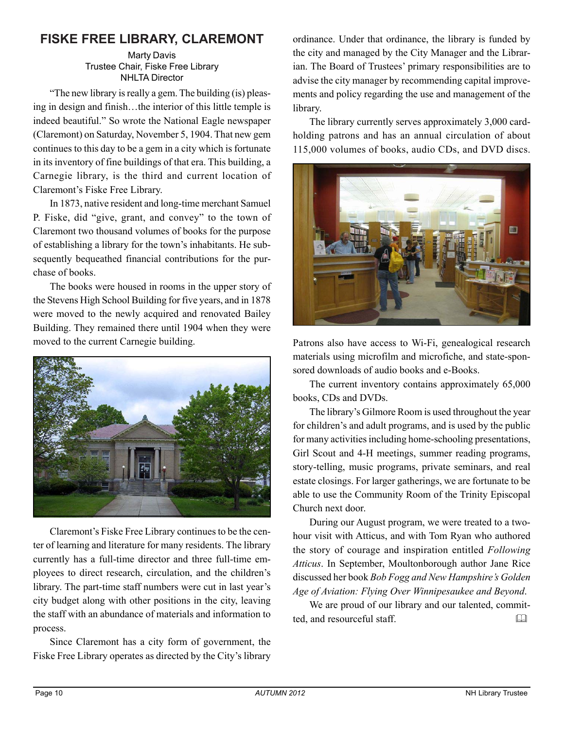## **FISKE FREE LIBRARY, CLAREMONT**

Marty Davis Trustee Chair, Fiske Free Library NHLTA Director

"The new library is really a gem. The building (is) pleasing in design and finish…the interior of this little temple is indeed beautiful." So wrote the National Eagle newspaper (Claremont) on Saturday, November 5, 1904. That new gem continues to this day to be a gem in a city which is fortunate in its inventory of fine buildings of that era. This building, a Carnegie library, is the third and current location of Claremont's Fiske Free Library.

In 1873, native resident and long-time merchant Samuel P. Fiske, did "give, grant, and convey" to the town of Claremont two thousand volumes of books for the purpose of establishing a library for the town's inhabitants. He subsequently bequeathed financial contributions for the purchase of books.

The books were housed in rooms in the upper story of the Stevens High School Building for five years, and in 1878 were moved to the newly acquired and renovated Bailey Building. They remained there until 1904 when they were moved to the current Carnegie building.



Claremont's Fiske Free Library continues to be the center of learning and literature for many residents. The library currently has a full-time director and three full-time employees to direct research, circulation, and the children's library. The part-time staff numbers were cut in last year's city budget along with other positions in the city, leaving the staff with an abundance of materials and information to process.

Since Claremont has a city form of government, the Fiske Free Library operates as directed by the City's library

ordinance. Under that ordinance, the library is funded by the city and managed by the City Manager and the Librarian. The Board of Trustees' primary responsibilities are to advise the city manager by recommending capital improvements and policy regarding the use and management of the library.

The library currently serves approximately 3,000 cardholding patrons and has an annual circulation of about 115,000 volumes of books, audio CDs, and DVD discs.



Patrons also have access to Wi-Fi, genealogical research materials using microfilm and microfiche, and state-sponsored downloads of audio books and e-Books.

The current inventory contains approximately 65,000 books, CDs and DVDs.

The library's Gilmore Room is used throughout the year for children's and adult programs, and is used by the public for many activities including home-schooling presentations, Girl Scout and 4-H meetings, summer reading programs, story-telling, music programs, private seminars, and real estate closings. For larger gatherings, we are fortunate to be able to use the Community Room of the Trinity Episcopal Church next door.

During our August program, we were treated to a twohour visit with Atticus, and with Tom Ryan who authored the story of courage and inspiration entitled *Following Atticus*. In September, Moultonborough author Jane Rice discussed her book *Bob Fogg and New Hampshire's Golden Age of Aviation: Flying Over Winnipesaukee and Beyond*.

We are proud of our library and our talented, committed, and resourceful staff.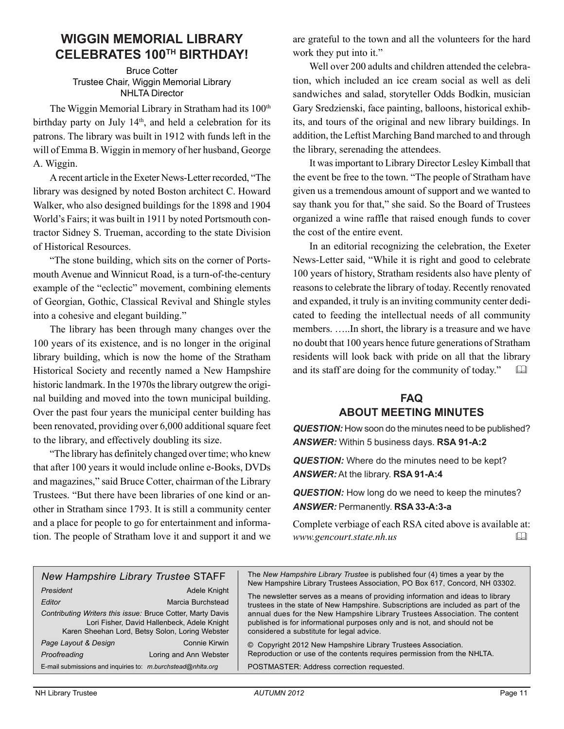#### **WIGGIN MEMORIAL LIBRARY CELEBRATES 100TH BIRTHDAY!**

Bruce Cotter Trustee Chair, Wiggin Memorial Library NHLTA Director

The Wiggin Memorial Library in Stratham had its 100<sup>th</sup> birthday party on July 14<sup>th</sup>, and held a celebration for its patrons. The library was built in 1912 with funds left in the will of Emma B. Wiggin in memory of her husband, George A. Wiggin.

A recent article in the Exeter News-Letter recorded, "The library was designed by noted Boston architect C. Howard Walker, who also designed buildings for the 1898 and 1904 World's Fairs; it was built in 1911 by noted Portsmouth contractor Sidney S. Trueman, according to the state Division of Historical Resources.

"The stone building, which sits on the corner of Portsmouth Avenue and Winnicut Road, is a turn-of-the-century example of the "eclectic" movement, combining elements of Georgian, Gothic, Classical Revival and Shingle styles into a cohesive and elegant building."

The library has been through many changes over the 100 years of its existence, and is no longer in the original library building, which is now the home of the Stratham Historical Society and recently named a New Hampshire historic landmark. In the 1970s the library outgrew the original building and moved into the town municipal building. Over the past four years the municipal center building has been renovated, providing over 6,000 additional square feet to the library, and effectively doubling its size.

"The library has definitely changed over time; who knew that after 100 years it would include online e-Books, DVDs and magazines," said Bruce Cotter, chairman of the Library Trustees. "But there have been libraries of one kind or another in Stratham since 1793. It is still a community center and a place for people to go for entertainment and information. The people of Stratham love it and support it and we are grateful to the town and all the volunteers for the hard work they put into it."

Well over 200 adults and children attended the celebration, which included an ice cream social as well as deli sandwiches and salad, storyteller Odds Bodkin, musician Gary Sredzienski, face painting, balloons, historical exhibits, and tours of the original and new library buildings. In addition, the Leftist Marching Band marched to and through the library, serenading the attendees.

It was important to Library Director Lesley Kimball that the event be free to the town. "The people of Stratham have given us a tremendous amount of support and we wanted to say thank you for that," she said. So the Board of Trustees organized a wine raffle that raised enough funds to cover the cost of the entire event.

In an editorial recognizing the celebration, the Exeter News-Letter said, "While it is right and good to celebrate 100 years of history, Stratham residents also have plenty of reasons to celebrate the library of today. Recently renovated and expanded, it truly is an inviting community center dedicated to feeding the intellectual needs of all community members. …..In short, the library is a treasure and we have no doubt that 100 years hence future generations of Stratham residents will look back with pride on all that the library and its staff are doing for the community of today."

#### **FAQ ABOUT MEETING MINUTES**

*QUESTION:* How soon do the minutes need to be published? *ANSWER:* Within 5 business days. **RSA 91-A:2**

*QUESTION:* Where do the minutes need to be kept? *ANSWER:* At the library. **RSA 91-A:4**

*QUESTION:* How long do we need to keep the minutes? *ANSWER:* Permanently. **RSA 33-A:3-a**

Complete verbiage of each RSA cited above is available at: *www.gencourt.state.nh.us* 

| <b>New Hampshire Library Trustee STAFF</b>                                                                                                                   |                        | The New Hampshire Library Trustee is published four (4) times a year by the<br>New Hampshire Library Trustees Association, PO Box 617, Concord, NH 03302.                                              |
|--------------------------------------------------------------------------------------------------------------------------------------------------------------|------------------------|--------------------------------------------------------------------------------------------------------------------------------------------------------------------------------------------------------|
| President                                                                                                                                                    | Adele Knight           |                                                                                                                                                                                                        |
| Editor                                                                                                                                                       | Marcia Burchstead      | The newsletter serves as a means of providing information and ideas to library<br>trustees in the state of New Hampshire. Subscriptions are included as part of the                                    |
| Contributing Writers this issue: Bruce Cotter, Marty Davis<br>Lori Fisher, David Hallenbeck, Adele Knight<br>Karen Sheehan Lord, Betsy Solon, Loring Webster |                        | annual dues for the New Hampshire Library Trustees Association. The content<br>published is for informational purposes only and is not, and should not be<br>considered a substitute for legal advice. |
| Page Layout & Design                                                                                                                                         | Connie Kirwin          | © Copyright 2012 New Hampshire Library Trustees Association.                                                                                                                                           |
| Proofreading                                                                                                                                                 | Loring and Ann Webster | Reproduction or use of the contents requires permission from the NHLTA.                                                                                                                                |
| E-mail submissions and inquiries to: m.burchstead@nhlta.org                                                                                                  |                        | POSTMASTER: Address correction requested.                                                                                                                                                              |